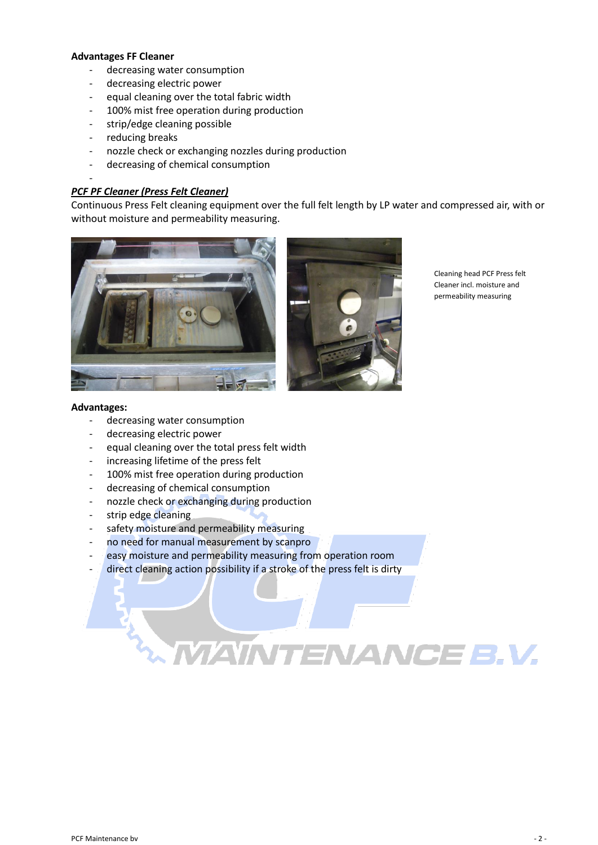- 水消費量の減少
- 電力消費の減少
- 繊維全幅クリーニングと同等
- 100% - エッジクリーニングが可能
- $\mathbf{u} \in \mathbb{R}^{n \times n}$  , where  $\mathbf{u} \in \mathbb{R}^{n \times n}$
- 製造中のノズルチェック・交換
- 薬品消費量の減少

## PCF PF ()



- 長 所: - decreasing water consumption
- decreasing electric power
- equal cleaning over the total press felt width
- increasing lifetime of the press felt
- 100% mist free operation during production
- decreasing of chemical consumption
- nozzle check or exchanging during production
- strip edge cleaning
- safety moisture and permeability measuring
- no need for manual measurement by scanpro
- easy moisture and permeability measuring from operation room
- direct cleaning action possibility if a stroke of the press felt is dirty

# m M **INTENANCE B.V.**

PCF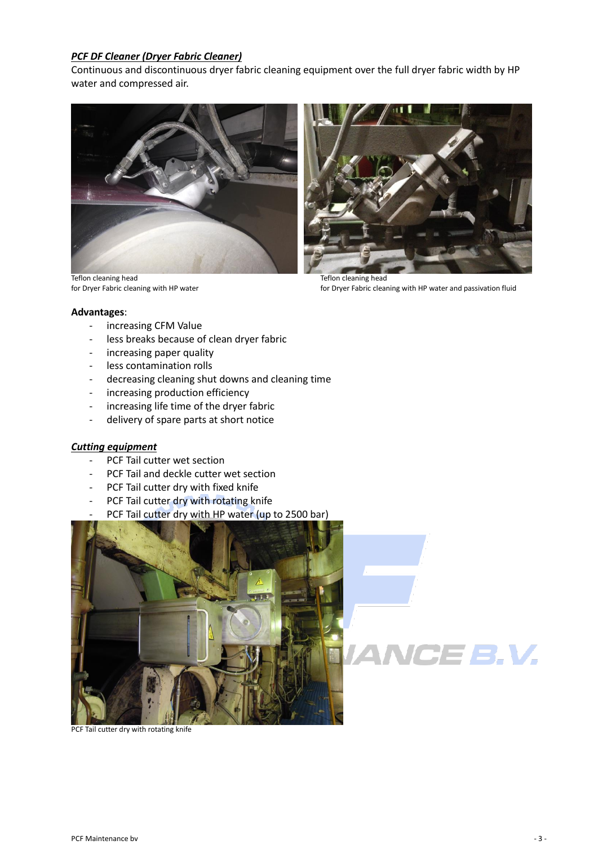### *PCF DF Cleaner (Dryer Fabric Cleaner)*

Continuous and discontinuous dryer fabric cleaning equipment over the full dryer fabric width by HP water and compressed air.



Teflon cleaning head Teflon cleaning head<br>
for Dryer Fabric cleaning with HP water<br>
Teflon cleaning head<br>
Teflon cleaning head<br>
Teflon cleaning head<br>
Teflon cleaning head



for Dryer Fabric cleaning with HP water and passivation fluid

#### **Advantages**:

- increasing CFM Value
- less breaks because of clean dryer fabric
- increasing paper quality
- less contamination rolls
- decreasing cleaning shut downs and cleaning time
- increasing production efficiency
- increasing life time of the dryer fabric
- delivery of spare parts at short notice

#### *Cutting equipment*

- PCF Tail cutter wet section
- PCF Tail and deckle cutter wet section
- PCF Tail cutter dry with fixed knife
- PCF Tail cutter dry with rotating knife
- PCF Tail cutter dry with HP water (up to 2500 bar)



PCF Tail cutter dry with rotating knife

CE 3.V.